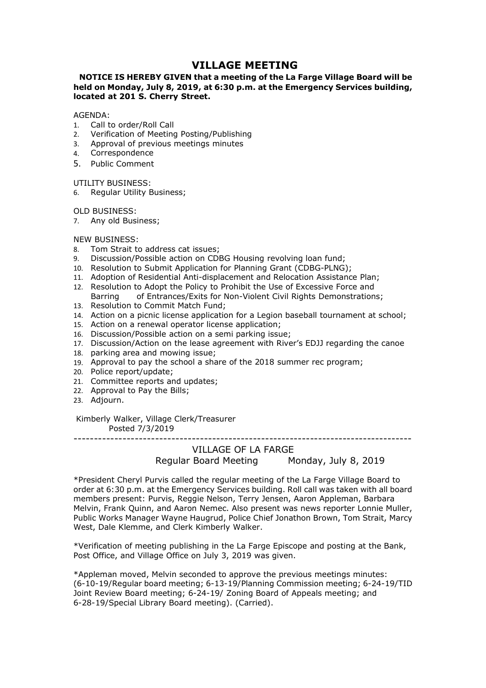# **VILLAGE MEETING**<br>that a meeting of the La Farge Village Board will be<br>.9, at 6:30 p.m. at the Emergency Services building,<br>reet. **VILLAGE MEETING<br>NOTICE IS HEREBY GIVEN that a meeting of the La Farge Village Board will be<br>eld on Monday, July 8, 2019, at 6:30 p.m. at the Emergency Services building,<br>GENDA:<br>Call to order/Roll Call VILLAGE MEETING<br>
WILLAGE MEETING**<br>
held on Monday, July 8, 2019, at 6:30 p.m. at the Emergency Services building,<br>
located at 201 S. Cherry Street.<br>
AGENDA:<br>
AGENDA:<br>
2. Verification of Meeting Posting/Publishing<br>
2. Veri **VILLAGE MEETING<br>
VILLAGE MEETING**<br>
held on Monday, July 8, 2019, at 6:30 p.m. at the Emergency Services building,<br>
located at 201 S. Cherry Street.<br>
AGENDA:<br>
1. Call to order/Roll Call<br>
1. Call to order/Roll Call<br>
2. Veri **VILLAGE MEETING**<br> **NOTICE IS HEREBY GIVEN that a meeting of the La Farge Village Board will be<br>
held on Monday, July 8, 2019, at 6:30 p.m. at the Emergency Services building,<br>
located at 201 S. Cherry Street.<br>
AGENDA:<br>
1. VILLAGE MEETING**<br> **NOTICE IS HEREBY GIVEN that a meeting of the La Farge Village Board will be<br>
held on Monday, July 8, 2019, at 6:30 p.m. at the Emergency Services building,<br>
AGENDA:<br>
1. Call to order/Roll Call<br>
1. Call VILLAGE MEETING**<br> **NOTICE IS HEREBY GIVEN that a meeting of the La Farge Village Board will be<br>
held on Monday, July 8, 2019, at 6:30 p.m. at the Emergency Services building,<br>
located at 201 S. Cherry Street.<br>
1. Call to VILLAGE MEETING**<br> **VILLAGE MEETING**<br> **NOTICE IS HEREBY GIVEN that a meeting of the La Farge Village Board<br>
held on Monday, July 8, 2019, at 6:30 p.m. at the Emergency Services bu<br>
located at 201 S. Cherry Street.<br>
AGENDA: VILLAGE MEETING**<br> **VILLAGE MEETING**<br> **NOTICE IS HEREBY GIVEN that a meeting of the La Farge Village Boal<br>
held on Monday, July 8, 2019, at 6:30 p.m. at the Emergency Services<br>
located at 201 S. Cherry Street.<br>
AGENDA:<br>
1. VILLAGE MEETING**<br> **NOTICE IS HEREBY GIVEN that a meeting of the La Farge Village Board will be<br>
held on Monday, July 8, 2019, at 6:30 p.m. at the Emergency Services building,<br>
located at 201 S. Cherry Street.<br>
AGENDA:<br>
1. VILLAGE MEETING**<br> **VILLAGE MEETING**<br> **held on Monday, July 8, 2019, at 6:30 p.m. at the Emergency Servic<br>
<b>located at 201 S. Cherry Street.**<br>
AGENDA:<br>
1. Call to order/Roll Call<br>
2. Verification of Meeting Posting/Publish **VILLAGE MEETING**<br> **NOTICE IS HEREBY GIVEN that a meeting of the La Farge Village Board w<br>
held on Monday, July 8, 2019, at 6:30 p.m. at the Emergency Services buil<br>
located at 201 S. Cherry Street.<br>
1. Call to order/Roll VILLAGE MEETING**<br> **WILLAGE MEETING**<br> **held on Monday, July 8, 2019, at 6:30 p.m. at the Emergency Servic<br>
<b>IOCALCE ACENDA:**<br>
1. Call to order/Roll Call<br>
2. Verification of Meeting Posting/Publishing<br>
2. Verification of Me **VILLAGE MEETING**<br> **NOTICE IS HEREBY GIVEN that a meeting of the La Farge Village Board will be<br>
held on Monday, July 8, 2019, at 6:30 p.m. at the Emergency Services building,<br>
AGENDA:<br>
1. Call to order/Roll Call<br>
1. Call VILLAGE MEETING**<br> **NOTICE IS HEREBY GIVEN that a meeting of the La Farge Village Board will be<br>
held on Monday, July 8, 2019, at 6:30 p.m. at the Emergency Services building,<br>
AGENDA:<br>
1. Call to order/Roll Call<br>
1. Call VILLAGE MEETING**<br> **Noring Monday, July 8, 2019, at 6:30 p.m. at the Emergency Services building,<br>
located at 201 S. Cherry Street.<br>
AGENDA:<br>
AGENDA:<br>
AGENDA:<br>
4. Carl to order/Roll Call<br>
2. Verification of Meeting Posting VILLAGE MEETING**<br> **NOTICE IS HEREBY GIVEN that a meeting of the La Farge Village Board will be<br>
held on Monday, July 8, 2019, at 6:30 p.m. at the Emergency Services building,<br>
AGENDA:<br>
L. Call to order/Roll Call<br>
1. Call NOTICE IS HEREBY GIVEN that a meeting of the La Farge Village Board will be<br>
held on Monday, July 8, 2019, at 6:30 p.m. at the Emergency Services building,<br>
AGENDA:<br>
Lection of Meeting Posting/Publishing<br>
2. Verification FILE IS HERCEP OF UNITE (SET ASSET ASSET ASSET AND ALLYTIME AND AN AND AN AND AN AND AN AND AN CONFIDENCIAL Call to order/Roll Call<br>Call to order/Roll Call<br>Call to order/Roll Call<br>Call to order/Roll Call<br>Call to order/Rol**

## AGENDA:

- 
- 
- 
- 4. Correspondence
- 

- 
- 
- 
- 
- neution motology, Jury <sub>87</sub>, 2019, 2019, 2019, 2019, 2019, 2019, 2019, 2019, 2019, 2019, 2019, 2019, 2019, 2019, 2019, 2019, 2019, 2019, 2019, 2019, 2019, 2019, 2019, 2019, 2019, 2019, 2019, 2019, 2019, 2019, 2019, 2019, 2 **AGENDA:**<br>
ACENDA:<br>
1. Call to order/Roll Call<br>
1. Call to order/Roll Call<br>
4. Correspondence<br>
4. Correspondence<br>
5. Public Comment<br>
UTILITY BUSINESS:<br>
5. Public Comment<br>
UTILITY BUSINESS:<br>
7. Any old Business;<br>
7. Any old AGENDA:<br>
1. Call to order/Roll Call<br>
2. Verification of Meeting Posting/Publishing<br>
3. Approval of previous meetings minutes<br>
4. Correspondence<br>
5. Public Comment<br>
1. Correspondence<br>
5. Public Comment<br>
1. The Comment of Da Notion<br>16. Call to order/Roll Call<br>2. Verification of Meeting Posting/Publishing<br>3. Approval of previous meetings minutes<br>5. Public Comment<br>16. Correspondence<br>5. Public Comment<br>16. Regular Utility Business;<br>8. Tom Strait t 1. Can to over More Canot Communistation of Meeting Posting/Publishing<br>
2. Verification of Meeting Postings minutes<br>
5. Public Comment<br>
4. Correspondence<br>
5. Public Comment<br>
6. Requiar Utility Business;<br>
7. Any old Busines 2.<br>
2. Ventraction of meeting Positing Politics<br>
3. Approval of previous meetings minutes<br>
5. Public Comment<br>
UTILITY BUSINESS:<br>
6. Regular Utility Business;<br>
7. Any old Business;<br>
7. Any old Business;<br>
8. Tom Strait to ad 2. Approval of previous interestings infinites<br>1. Correspondence<br>5. Public Comment<br>19. Approximates:<br>19. New Business;<br>19. May old Business;<br>19. New Business;<br>1. Adoption of Residential Anti-displacement and Relocation Ass 4.<br>
20. Politic Comment<br>
2. Public Comment<br>
2. Regular Utility Business;<br>
2. Regular Utility Business;<br>
2. The Strate to address cat issues;<br>
2. Discussion/Possible action on CDBG Plousing revolving loan fund;<br>
2. Discussi 5. Public Comment<br>
2011LITY BUSINESS:<br>
21. Regular Utility Business;<br>
2. Regular Utility Business;<br>
2. Tom Strait to address cat issues;<br>
9. Discussion/Possible action on CDBG Housing revolving loan fund;<br>
2. Resolution to UTILITY BUSINESS:<br>
6. Regular Utility Business;<br>
7. Any old Business;<br>
7. Any old Business;<br>
8. Tom Strait to address cat issues;<br>
8. Tom Strait to address cat issues;<br>
10. Resolution to Submit Application for Planning Gra DLD BUSINESS:<br>
C. Any old Business;<br>
C. May and Business;<br>
S. Tom Strait to address cat issues;<br>
N. Discussion/Possible action on CDBG Housing revolving loan fund;<br>
Discussion/Possible action on CDBG Housing revolving loan INESS:<br>
INESS:<br>
Similarson (Basiness, SINESS:<br>
Strait to address cat issues;<br>
Strait to address cat issues;<br>
Strait to adom on CDBG Housing revolving loan fund;<br>
Institution to Sability the Policy to Prohibit the Use of Ex
- 
- 
- 
- 
- 
- 
- 
- 
- 
- 
- 23. Adjourn.

NEW BUSINESS:<br>
8. Tom Strait to address cat issues;<br>
9. Discussion/Possible action on CDBG Housing Grant (CDBG-PLNG);<br>
10. Resolution to Submit Aplication for Planning Grant (CDBG-PLNG);<br>
11. Adoption of Residential Anti-d dress cat issues;<br>
blen action on CDBG Housing revolving loan fund;<br>
blen action on CDBG Housing Grant (CDBG-PLNG);<br>
blential Anti-displacement and Relocation Assistance Plan;<br>
copt the Policy to Prohibit the Use of Excess 10. Resolution to Submit Application for Planning Grant (CDBC-PIVG):<br>
11. Adoption of Residential Anti-displacement and Relocation Assistance Plan;<br>
12. Resolution to Adopt the Policy to Prohibit the Use of Excessive Force 11. Adoption of Residential Anti-displacement and Relocation Assistance Plan;<br>
2. Resolution to Adopt the Policy to Prohibit the Use of Excessive Force and<br>
12. Resolution to Commit Match Fund;<br>
13. Neolution of a prime li 12. Resolution to Adopt the Poitic y Forminit the Use of Excessive Force and<br>
Rasring of Entrances/Exits for Non-Violent Civil Rights Demonstrations;<br>
13. Resolution to Commit Match Fund;<br>
14. Action on a prenewl operator **Earing Confrances/Exits for Non-Violent Civil Rights Demonstrations;**<br>
Resolution to Commit Match Fund:<br>
14. Action on a picnic literate application for a Legion baseball tournament at school;<br>
15. Action on a renewal ope 13. Resolution to Commit Match Fund;<br>
14. Action on a picnic license application for a Legion baseball tournament at school;<br>
15. Action on a penewal operator license application;<br>
16. Discussion/Action on the lease agreem 14. Action on a picnic license application for a Legion baseball tournament at school;<br>15. Action on a prich license application:<br>16. Discussion/Possible action on a semi parking issue;<br>17. Discussion/Rotion on the uses ag 16. Discussion/Possible action on a semi parking issue;<br>
16. Discussion/Action on the lease agreement with River's EDJJ regarding the canoe<br>
18. Approval to pay the school a share of the 2018 summer rec program;<br>
20. Polic 17. Discussion/Action on the lease agreement with River's EDJJ regarding the canoe<br>18. parking area and moving issue;<br>
19. Polipe report/update;<br>
21. Committee reports and updates;<br>
21. Committee reports and updates;<br>
21. 19. Approval to pay the school a share of the 2018 summer rec program;<br>
20. Police report/update;<br>
21. Committee reports and updates;<br>
21. Committee reports and updates;<br>
23. Adjourn.<br>
Kimberly Walker, Village Clerk/Treasu Police report/undate;<br>
21. Committee reports and updates;<br>
21. Committee reports and updates;<br>
22. Approval to Pay the Bills;<br>
33. Adjourn.<br>
Kimberly Walker, Village Clerk/Treasurer<br>
Posted 7/3/2019<br>
\*President Chery Purvi 21. Committee reports and updates;<br>
22. Approval to Pay the Bills;<br>
23. Adjourn.<br>
YILLAGE OF LA FARGE<br>
The Posted 7/3/2019<br>
Regular Board Meeting<br>
Regular Board Meeting<br>
Regular Board Meeting<br>
Regular Board Meeting<br>
The Ra 6-28-19/Special Library Board meeting). (Carried).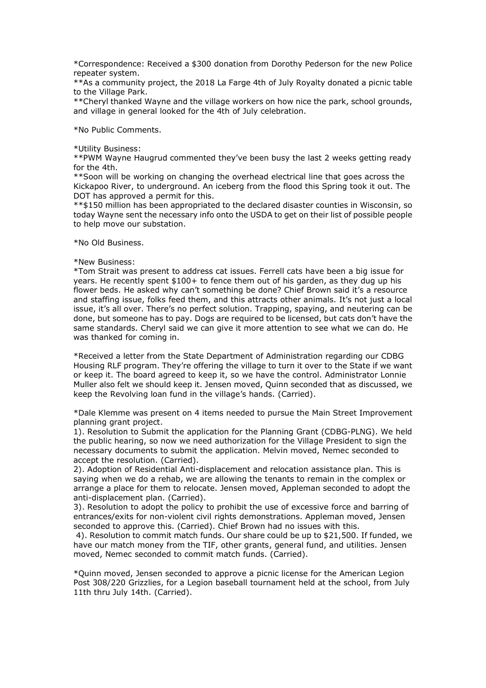\*Correspondence: Received a \$300 donation from Dorothy Pederson for the new Police<br>repeater system.<br>\*\*As a community project, the 2018 La Farge 4th of July Royalty donated a picnic table<br>to the Village Park.<br>\*\*Cheryl thank \*Correspondence: Received a \$300 donation from Dorothy Pederson for the n<br>repeater system.<br>\*\*As a community project, the 2018 La Farge 4th of July Royalty donated a pi<br>to the Village Park.<br>\*\*Cheryl thanked Wayne and the vi \*Correspondence: Received a \$300 donation from Dorothy Pederson for the new Police<br>repeater system.<br>\*\*As a community project, the 2018 La Farge 4th of July Royalty donated a picnic table<br>to the Village Park.<br>\*\*Cheryl thank \*Correspondence: Received a \$300 donation from Dorothy Pederson for the new P<br>repeater system.<br>\*\*As a community project, the 2018 La Farge 4th of July Royalty donated a picnic t<br>to the Village Park.<br>\*\*Cheryl thanked Wayne \*Correspondence: Received a \$300 donation from Dorothy Pederson for the new Police<br>repeater system.<br>\*\*As a community project, the 2018 La Farge 4th of July Royalty donated a picnic table<br>to the Village Park.<br>\*\*Cheryl thank \*Correspondence: Received a \$300 donation from Dorothy Pederson for the new Police<br>repeater system.<br>\*\*As a community project, the 2018 La Farge 4th of July Royalty donated a picnic table<br>to the Village Park.<br>\*\*Cheryl thank \*Correspondence: Received a \$300 donation from Dorothy Pederson for the nev<br>repeater system.<br>\*\*As a community project, the 2018 La Farge 4th of July Royalty donated a picn<br>to the Village Park.<br>\*\*Cheryl thanked Wayne and th

\*Correspondence: Received a \$300 donation from Dorothy Pederson for the<br>repeater system.<br>\*\*As a community project, the 2018 La Farge 4th of July Royalty donated a to<br>the Village Park.<br>\*\*Cheryl thanked Wayne and the village \*Correspondence: Received a \$300 donation from Dorothy Pederson for the new Police<br>\*\*As a community project, the 2018 La Farge 4th of July Royalty donated a picnic table<br>to the Village Park.<br>\*\*Cheryl thanked Wayne and the \*Correspondence: Received a \$300 donation from Dorothy Pederson for the<br>
\*\*As a community project, the 2018 La Farge 4th of July Royalty donated a<br>
\*\*As a community project, the 2018 La Farge 4th of July Royalty donated a<br> \*Correspondence: Received a \$300 donation from Dorothy Pederson for the new Police<br>\*\*As a community project, the 2018 La Farge 4th of July Royalty donated a picnic table<br>to the Village Park.<br>\*\*Cheryl thanked Wayne and the

\*Correspondence: Received a \$300 donation from Dorothy Pederson for the new Police<br>repeater system.<br>\*\*As a community project, the 2018 La Farge 4th of July Royalty donated a picnic table<br>\*\*As a community project, the 2018 \*Correspondence: Received a \$300 donation from Dorothy Pederson for the new Police<br>repeater system.<br>\*\*As a community project, the 2018 La Farge 4th of July Royalty donated a picnic table<br>to the Village park.<br>\*to the Villag \*Correspondence: Received a \$300 donation from Dorothy Pederson for the new Police<br>repeater system.<br>\*\*As a community project, the 2018 La Farge 4th of July Royalty donated a picnic table<br>to the Village Park.<br>\*\*Cleryl thank \*Correspondence: Received a \$300 donation from Dorothy Pederson for the new Police<br>
\*\*As a community project, the 2018 La Farge 4th of July Royalty donated a picnic table<br>
to the Village Park.<br>
\*\*Cheryl thanked Wayne and t \*Correspondence: Received a \$300 donation from Dorothy Pederson for the new Police<br>
\*\*As a community project, the 2018 La Farge 4th of July Royalty donated a picnic table<br>
\*\*As a community project, the 2018 La Farge 4th of \*Correspondence: Received a \$300 donation from Dorothy Pederson for the repeater system.<br>\*\*As a community project, the 2018 La Farge 4th of July Royalty donated a p<br>\*\*As a community project, the 2018 La Farge 4th of July R

\*Correspondence: Received a \$300 donation from Dorothy Pederson for the repeater system.<br>
\*\*As a community project, the 2018 La Farge 4th of July Royalty donated a<br>
\*\*As a community project, the 2018 La Farge 4th of July R \*Correspondence: Received a \$300 donation from Dorothy Pederson for the new Police<br>
\*\*As a community project, the 2018 La Farge 4th of July Royalty donated a picnic table<br>
to the Village Park.<br>
\*\*Cheryl thanked Wayne and t \*Correspondence: Heceived a \$400 donation from Dorothy Pederson for the new Police<br>
\*\*As a community project, the 2018 La Farge 4th of July Royalty donated a picnic table<br>
to the Village Park.<br>
\*Atcheryl thanked Waye and t repeater system.<br>
The peak term standards of the Village Park.<br>
The Village Park.<br>
The Village Park.<br>
The Village Park of Musiness.<br>
The pear of Village in general looked for the 4th of July celebration.<br>
The pear of Villa \*\*As a community propect, the 2018 La Farge 4th of July Royalty donated a picnic table<br>to the Village Park.<br>and Village in general looked for the 4th of July celebration.<br>And Village in general looked for the 4th of July c to the Village Park.<br>
The Village in general looked for the 4th of July celebration.<br>
\*\*No Public Comments.<br>
\*\*No Public Comments.<br>
\*\*No Public Comments.<br>
\*\*No Public Comments.<br>
\*\*No Public Comments.<br>
\*\*No Waynes Haugrud c \*\* Chery! thanked wayne and the willage workers on how nice the park, school grounds,<br>and village in general looked for the 4th of July celebration.<br>\*Utility Business:<br>\*\* PWM Wayne Haugrud commented they've been busy the l and village in general looked for the 4th of July celebration.<br>
\*No Public Comments.<br>
\*No Public Comments.<br>
\*No Public Comments.<br>
\*\*NoW Wayne Haugrud commented they've been busy the last 2 weeks getting ready<br>
for the 4th. \*No Public Comments.<br>\*Utility Business:<br>\*\*Utility Business:<br>\*\*IVM Wayne Haugrud commented they've been busy the last 2 weeks getting ready<br>\*\*Soon will be working on changing the overhead electrical line that goes across th \*Utility Business:<br>\*\*PWM Wayne Haugrud commented they've been busy the last 2 weeks getting ready<br>\*\*Foon will be working on changing the overhead electrical line that goes across the<br>\*\*Scon will be working on changing the \*Utlinty business:<br>\*Profit 4th.<br>\*\*EVM Waynes Haugrud commented they've been busy the last 2 weeks getting ready<br>for the 4th.<br>\*\*Spon will be working on changing the overhead electrical line that goes across the<br>Kickappo Riv or keep it. The board agreed to keep it, so we have the control. Administrator Lonnie for the 4th.<br>We should be working on changing the overhead electrical line that goes across the<br>Kickapoo River, to underground. An iceberg from the flood this Spring took it out. The<br>N\*\$150 million has been appropriated to \*"Soon will be working on changing the overhead electrical line that goes across the<br>Nickapoo River, to underground. An iceberg from the flood this Spring took it out. The<br>PSQ poly has approved a permit for this.<br>  $\frac{1}{2}$ DOI has approved a permit for this.<br>
The sumproved a permit of the declared disaster counties in Wisconsin, so<br>
to help move our substation.<br>
The to help move our substation.<br>
The to help move our substation.<br>
The to help \*\* \$150 million has been appropriated to the decarated disaster counties in wisconsin,<br>
\*\* but of the meck of the USDA to get on their list of possible peo<br>
today Wayne sent the necessary info onto the USDA to get on their to day Wayne sent the necessary into onto the USDA to get on their list of possible people<br>
to help move our substation.<br>
"No Old Business:<br>
"New Business:<br>
"New Business:<br>
"New Business:<br>
"New Business:<br>
"New Business:<br>
A to help move our substation.<br>
\*No Old Business:<br>
\*No Old Business:<br>
\*Now Business. Herecantly spent \$100+1 to freed them out of his garden, as they dug up his<br>
#Tom Strait was present to address cat issues. Ferrell cats ha \*No Old Business.<br>\*New Business:<br>\*Tom Strait was present to address cat issues. Ferrell cats have been a big issue for<br>\*Tom Strait was present to address cat issues. Ferrell cats have been a big issue for<br>flower beds. He a \*No Old Business.<br>\*No Old Business.<br>\*No Wasiness:<br>\*The Washies:<br>\*The acceptiv spent to address cat issues. Ferrell cats have been a big issue for<br>years. He recently spent \$100+ to fence them out of his garden, as they due \*New Business:<br>\*Tom Strait was present to address cat issues. Ferrell cats have been a big issue for<br>Years. He recently spent \$100+ to fence them out of his garden, as they dug up his<br>flower beds. He asked why can't someth <sup>\*N</sup>New Business:<br>
\*Tom Strait was present to address cat issues. Ferrell cats have been a big issue for<br>
years. He recently spent \$100+1 to fence them out of his graden, as they dug up his<br>
flower beds. He asked why can't \* Iom Stratt was present to address cat issues. Ferrell cats have been a big issue for the exertal place flower beds. He asked why can't something be done? Chief Brown said it's a resource and staffing issue, folks feed th years. He recently spent \$100+1 to fence then out of the garden, as they dug up his<br>dower beds. He asked why can't something be done? Chief Brown said it's a resource<br>and staffing issue, folse feed then, and this attracts flower beeds. He asked why can't something be done? Chier Brown said it's a resource to addising itsue, it's all over. There's no perfect solution. Traping, spaying, and neutering can be doten, but someone has to pay. Dogs

and starming issue, toiks feed them, and this attracts of there animals. It's not by ustall over. There's no perfect solution. Trapping, spaying, and neutering can be done, but cast sort have the same standards. Cheryl sai issue, its all over. Interest in perent solution. Irapping, spaying, and neutering can be<br>done, but someone has to pay. Dogs are required to be licensed, but cats don't have the<br>same standards. Cheryl said we can give it m ione, but someon has to pay. Dogs are required to be licensed, but cats don't have the product the systalianties there want all the want on the State Department of Administration regarding our CDBG<br>"Received a letter from same standards. Cheryl said we can give it more attention to see what we can do. He<br>was thanked for coming in.<br>"Received a letter from the State Department of Administration regarding our CDBG<br>or where the State if we want was thanked for coming in.<br>"Received a letter from the State Department of Administration regarding our CDBG<br>"Housing RLF program. They're offering the village to turn it over to the State if we want<br>or keep it. The board \*Received a letter from the State Uepartment of Administration regarding our CUBG<br>Housing RLF program. They're offering the village to turn it over to the State if we want<br>or keep it. The board agreed to keep it, so we hav

Housing KLP program. They're oftering the village to turn it over to the State ir we wanted that the Multer also felt we showe the control. Administrator Lomine Multer also felt we should keep the Revolving loan fund in th or keep it. In board agreed to keep it, so we have the control. Administrator Lonnie<br>Muller also felt we should keep it. Jensen moved, Quinn seconded that as discussed, we<br>keep the Revolving loan fund in the village's hand